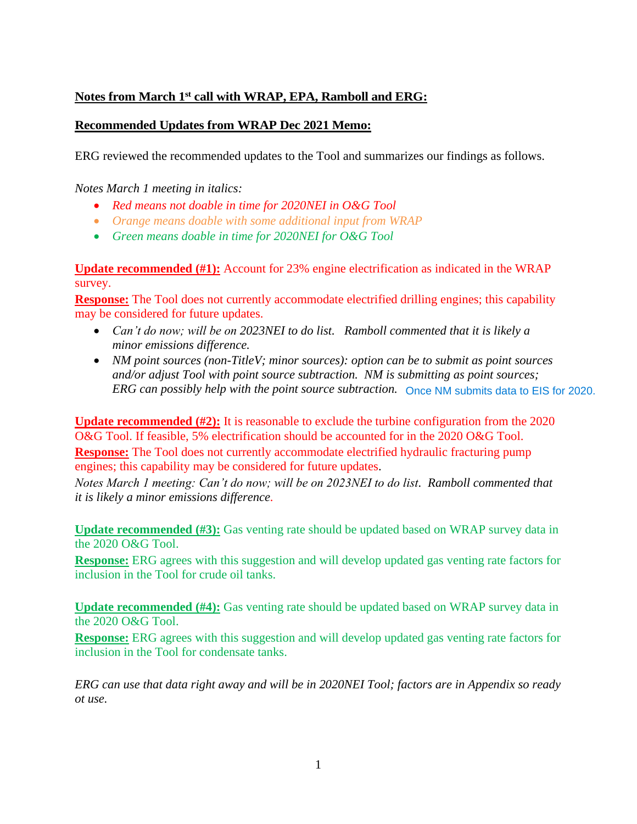## **Notes from March 1st call with WRAP, EPA, Ramboll and ERG:**

## **Recommended Updates from WRAP Dec 2021 Memo:**

ERG reviewed the recommended updates to the Tool and summarizes our findings as follows.

*Notes March 1 meeting in italics:* 

- *Red means not doable in time for 2020NEI in O&G Tool*
- *Orange means doable with some additional input from WRAP*
- *Green means doable in time for 2020NEI for O&G Tool*

**Update recommended (#1):** Account for 23% engine electrification as indicated in the WRAP survey.

**Response:** The Tool does not currently accommodate electrified drilling engines; this capability may be considered for future updates.

- *Can't do now; will be on 2023NEI to do list. Ramboll commented that it is likely a minor emissions difference.*
- *NM point sources (non-TitleV; minor sources): option can be to submit as point sources and/or adjust Tool with point source subtraction. NM is submitting as point sources; ERG can possibly help with the point source subtraction.* Once NM submits data to EIS for 2020.

**Update recommended (#2):** It is reasonable to exclude the turbine configuration from the 2020 O&G Tool. If feasible, 5% electrification should be accounted for in the 2020 O&G Tool.

**Response:** The Tool does not currently accommodate electrified hydraulic fracturing pump engines; this capability may be considered for future updates.

*Notes March 1 meeting: Can't do now; will be on 2023NEI to do list. Ramboll commented that it is likely a minor emissions difference.*

**Update recommended (#3):** Gas venting rate should be updated based on WRAP survey data in the 2020 O&G Tool.

**Response:** ERG agrees with this suggestion and will develop updated gas venting rate factors for inclusion in the Tool for crude oil tanks.

**Update recommended (#4):** Gas venting rate should be updated based on WRAP survey data in the 2020 O&G Tool.

**Response:** ERG agrees with this suggestion and will develop updated gas venting rate factors for inclusion in the Tool for condensate tanks.

*ERG can use that data right away and will be in 2020NEI Tool; factors are in Appendix so ready ot use.*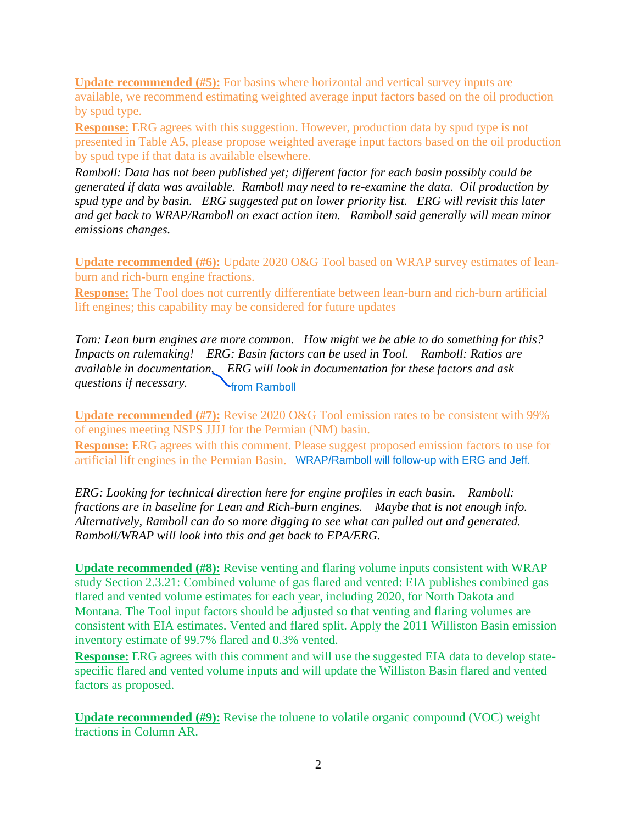**Update recommended (#5):** For basins where horizontal and vertical survey inputs are available, we recommend estimating weighted average input factors based on the oil production by spud type.

**Response:** ERG agrees with this suggestion. However, production data by spud type is not presented in Table A5, please propose weighted average input factors based on the oil production by spud type if that data is available elsewhere.

*Ramboll: Data has not been published yet; different factor for each basin possibly could be generated if data was available. Ramboll may need to re-examine the data. Oil production by spud type and by basin. ERG suggested put on lower priority list. ERG will revisit this later and get back to WRAP/Ramboll on exact action item. Ramboll said generally will mean minor emissions changes.*

**Update recommended (#6):** Update 2020 O&G Tool based on WRAP survey estimates of leanburn and rich-burn engine fractions.

**Response:** The Tool does not currently differentiate between lean-burn and rich-burn artificial lift engines; this capability may be considered for future updates

*Tom: Lean burn engines are more common. How might we be able to do something for this? Impacts on rulemaking! ERG: Basin factors can be used in Tool. Ramboll: Ratios are available in documentation. ERG will look in documentation for these factors and ask questions if necessary.*

**Update recommended (#7):** Revise 2020 O&G Tool emission rates to be consistent with 99% of engines meeting NSPS JJJJ for the Permian (NM) basin. from Ramboll<br>evise 2020 O&G Tool emission rates to be consistent with 9<br>for the Permian (NM) basin.<br>is comment. Please suggest proposed emission factors to use<br>mian Basin. WRAP/Ramboll will follow-up with ERG and Jeff.

**Response:** ERG agrees with this comment. Please suggest proposed emission factors to use for artificial lift engines in the Permian Basin. WRAP/Ramboll will follow-up with ERG and Jeff.

*ERG: Looking for technical direction here for engine profiles in each basin. Ramboll: fractions are in baseline for Lean and Rich-burn engines. Maybe that is not enough info. Alternatively, Ramboll can do so more digging to see what can pulled out and generated. Ramboll/WRAP will look into this and get back to EPA/ERG.*

**Update recommended (#8):** Revise venting and flaring volume inputs consistent with WRAP study Section 2.3.21: Combined volume of gas flared and vented: EIA publishes combined gas flared and vented volume estimates for each year, including 2020, for North Dakota and Montana. The Tool input factors should be adjusted so that venting and flaring volumes are consistent with EIA estimates. Vented and flared split. Apply the 2011 Williston Basin emission inventory estimate of 99.7% flared and 0.3% vented.

**Response:** ERG agrees with this comment and will use the suggested EIA data to develop statespecific flared and vented volume inputs and will update the Williston Basin flared and vented factors as proposed.

**Update recommended (#9):** Revise the toluene to volatile organic compound (VOC) weight fractions in Column AR.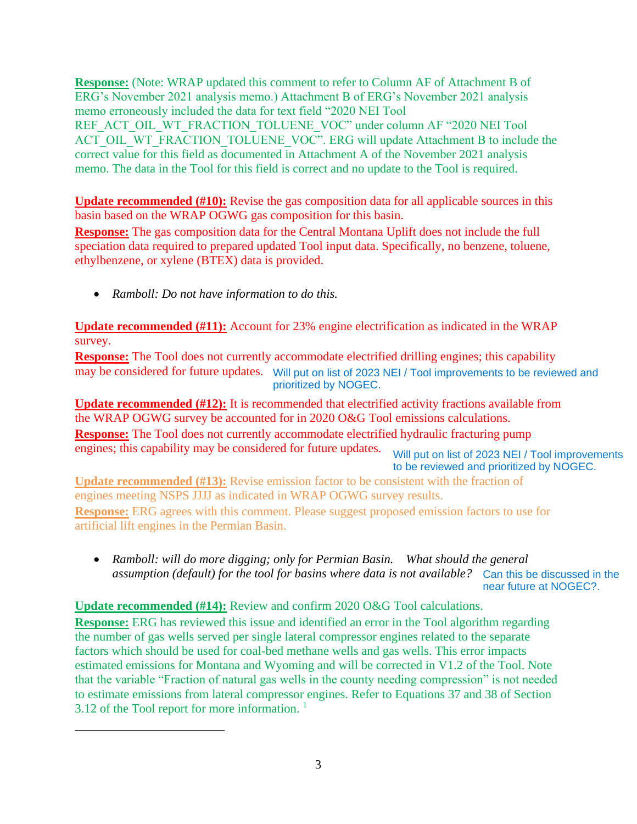**Response:** (Note: WRAP updated this comment to refer to Column AF of Attachment B of ERG's November 2021 analysis memo.) Attachment B of ERG's November 2021 analysis memo erroneously included the data for text field "2020 NEI Tool REF\_ACT\_OIL\_WT\_FRACTION\_TOLUENE\_VOC" under column AF "2020 NEI Tool ACT\_OIL\_WT\_FRACTION\_TOLUENE\_VOC". ERG will update Attachment B to include the correct value for this field as documented in Attachment A of the November 2021 analysis memo. The data in the Tool for this field is correct and no update to the Tool is required.

**Update recommended (#10):** Revise the gas composition data for all applicable sources in this basin based on the WRAP OGWG gas composition for this basin.

**Response:** The gas composition data for the Central Montana Uplift does not include the full speciation data required to prepared updated Tool input data. Specifically, no benzene, toluene, ethylbenzene, or xylene (BTEX) data is provided.

• *Ramboll: Do not have information to do this.*

**Update recommended (#11):** Account for 23% engine electrification as indicated in the WRAP survey.

**Response:** The Tool does not currently accommodate electrified drilling engines; this capability may be considered for future updates. Will put on list of 2023 NEI / Tool improvements to be reviewed and prioritized by NOGEC.

**Update recommended (#12):** It is recommended that electrified activity fractions available from the WRAP OGWG survey be accounted for in 2020 O&G Tool emissions calculations. **Response:** The Tool does not currently accommodate electrified hydraulic fracturing pump engines; this capability may be considered for future updates. Will put on list of 2023 NEI / Tool improvements to be reviewed and prioritized by NOGEC.

**Update recommended (#13):** Revise emission factor to be consistent with the fraction of engines meeting NSPS JJJJ as indicated in WRAP OGWG survey results. **Response:** ERG agrees with this comment. Please suggest proposed emission factors to use for artificial lift engines in the Permian Basin.

• *Ramboll: will do more digging; only for Permian Basin.* What should the general *assumption (default) for the tool for basins where data is not available?* Can this be discussed in the near future at NOGEC?.

## **Update recommended (#14):** Review and confirm 2020 O&G Tool calculations.

**Response:** ERG has reviewed this issue and identified an error in the Tool algorithm regarding the number of gas wells served per single lateral compressor engines related to the separate factors which should be used for coal-bed methane wells and gas wells. This error impacts estimated emissions for Montana and Wyoming and will be corrected in V1.2 of the Tool. Note that the variable "Fraction of natural gas wells in the county needing compression" is not needed to estimate emissions from lateral compressor engines. Refer to Equations 37 and 38 of Section 3.12 of the Tool report for more information.  $<sup>1</sup>$ </sup>